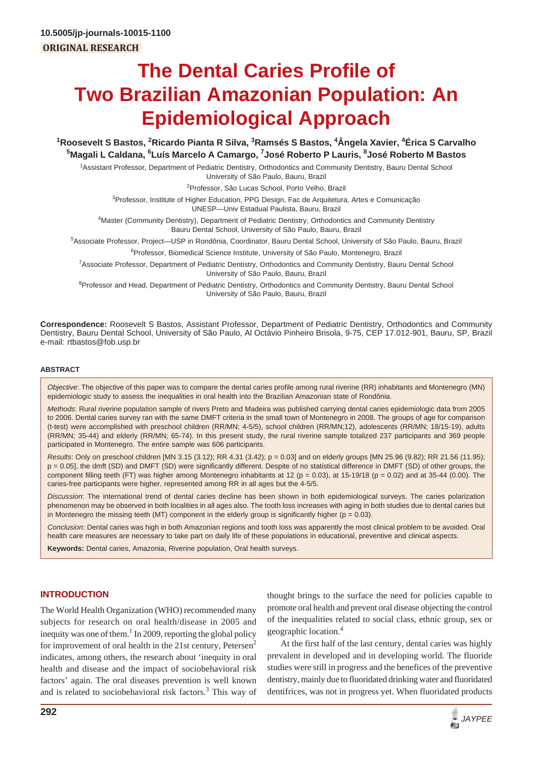# **The Dental Caries Profile of Two Brazilian Amazonian Population: An Epidemiological Approach**

<sup>1</sup>Roosevelt S Bastos, <sup>2</sup>Ricardo Pianta R Silva, <sup>3</sup>Ramsés S Bastos, <sup>4</sup>Ângela Xavier, <sup>4</sup>Érica S Carvalho **5 Magali L Caldana, 6 Luís Marcelo A Camargo, 7 José Roberto P Lauris, 8 José Roberto M Bastos**

<sup>1</sup> Assistant Professor, Department of Pediatric Dentistry, Orthodontics and Community Dentistry, Bauru Dental School University of São Paulo, Bauru, Brazil

<sup>2</sup>Professor, São Lucas School, Porto Velho, Brazil

<sup>3</sup>Professor, Institute of Higher Education, PPG Design, Fac de Arquitetura, Artes e Comunicação

UNESP—Univ Estadual Paulista, Bauru, Brazil

4 Master (Community Dentistry), Department of Pediatric Dentistry, Orthodontics and Community Dentistry Bauru Dental School, University of São Paulo, Bauru, Brazil

5 Associate Professor, Project—USP in Rondônia, Coordinator, Bauru Dental School, University of São Paulo, Bauru, Brazil <sup>6</sup>Professor, Biomedical Science Institute, University of São Paulo, Montenegro, Brazil

7 Associate Professor, Department of Pediatric Dentistry, Orthodontics and Community Dentistry, Bauru Dental School University of São Paulo, Bauru, Brazil

<sup>8</sup>Professor and Head, Department of Pediatric Dentistry, Orthodontics and Community Dentistry, Bauru Dental School University of São Paulo, Bauru, Brazil

**Correspondence:** Roosevelt S Bastos, Assistant Professor, Department of Pediatric Dentistry, Orthodontics and Community Dentistry, Bauru Dental School, University of São Paulo, Al Octávio Pinheiro Brisola, 9-75, CEP 17.012-901, Bauru, SP, Brazil e-mail: rtbastos@fob.usp.br

#### **ABSTRACT**

*Objective*: The objective of this paper was to compare the dental caries profile among rural riverine (RR) inhabitants and Montenegro (MN) epidemiologic study to assess the inequalities in oral health into the Brazilian Amazonian state of Rondônia.

*Methods*: Rural riverine population sample of rivers Preto and Madeira was published carrying dental caries epidemiologic data from 2005 to 2006. Dental caries survey ran with the same DMFT criteria in the small town of Montenegro in 2008. The groups of age for comparison (t-test) were accomplished with preschool children (RR/MN; 4-5/5), school children (RR/MN;12), adolescents (RR/MN; 18/15-19), adults (RR/MN; 35-44) and elderly (RR/MN; 65-74). In this present study, the rural riverine sample totalized 237 participants and 369 people participated in Montenegro. The entire sample was 606 participants.

*Results*: Only on preschool children [MN 3.15 (3.12); RR 4.31 (3.42); p = 0.03] and on elderly groups [MN 25.96 (9.82); RR 21.56 (11.95); p = 0.05], the dmft (SD) and DMFT (SD) were significantly different. Despite of no statistical difference in DMFT (SD) of other groups, the component filling teeth (FT) was higher among Montenegro inhabitants at 12 ( $p = 0.03$ ), at 15-19/18 ( $p = 0.02$ ) and at 35-44 (0.00). The caries-free participants were higher, represented among RR in all ages but the 4-5/5.

*Discussion*: The international trend of dental caries decline has been shown in both epidemiological surveys. The caries polarization phenomenon may be observed in both localities in all ages also. The tooth loss increases with aging in both studies due to dental caries but in Montenegro the missing teeth (MT) component in the elderly group is significantly higher ( $p = 0.03$ ).

*Conclusion*: Dental caries was high in both Amazonian regions and tooth loss was apparently the most clinical problem to be avoided. Oral health care measures are necessary to take part on daily life of these populations in educational, preventive and clinical aspects.

**Keywords:** Dental caries, Amazonia, Riverine population, Oral health surveys.

# **INTRODUCTION**

The World Health Organization (WHO) recommended many subjects for research on oral health/disease in 2005 and inequity was one of them.<sup>1</sup> In 2009, reporting the global policy for improvement of oral health in the 21st century, Petersen<sup>2</sup> indicates, among others, the research about 'inequity in oral health and disease and the impact of sociobehavioral risk factors' again. The oral diseases prevention is well known and is related to sociobehavioral risk factors.<sup>3</sup> This way of

thought brings to the surface the need for policies capable to promote oral health and prevent oral disease objecting the control of the inequalities related to social class, ethnic group, sex or geographic location.4

At the first half of the last century, dental caries was highly prevalent in developed and in developing world. The fluoride studies were still in progress and the benefices of the preventive dentistry, mainly due to fluoridated drinking water and fluoridated dentifrices, was not in progress yet. When fluoridated products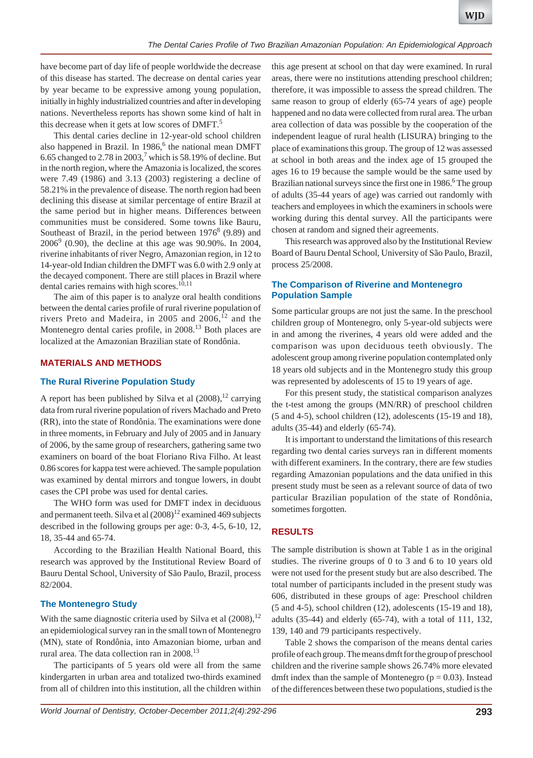have become part of day life of people worldwide the decrease of this disease has started. The decrease on dental caries year by year became to be expressive among young population, initially in highly industrialized countries and after in developing nations. Nevertheless reports has shown some kind of halt in this decrease when it gets at low scores of DMFT.<sup>5</sup>

This dental caries decline in 12-year-old school children also happened in Brazil. In 1986,<sup>6</sup> the national mean DMFT 6.65 changed to 2.78 in 2003,<sup>7</sup> which is 58.19% of decline. But in the north region, where the Amazonia is localized, the scores were 7.49 (1986) and 3.13 (2003) registering a decline of 58.21% in the prevalence of disease. The north region had been declining this disease at similar percentage of entire Brazil at the same period but in higher means. Differences between communities must be considered. Some towns like Bauru, Southeast of Brazil, in the period between  $1976<sup>8</sup>$  (9.89) and  $2006^9$  (0.90), the decline at this age was 90.90%. In 2004, riverine inhabitants of river Negro, Amazonian region, in 12 to 14-year-old Indian children the DMFT was 6.0 with 2.9 only at the decayed component. There are still places in Brazil where dental caries remains with high scores.<sup>10,11</sup>

The aim of this paper is to analyze oral health conditions between the dental caries profile of rural riverine population of rivers Preto and Madeira, in 2005 and 2006, $12$  and the Montenegro dental caries profile, in 2008.<sup>13</sup> Both places are localized at the Amazonian Brazilian state of Rondônia.

### **MATERIALS AND METHODS**

#### **The Rural Riverine Population Study**

A report has been published by Silva et al  $(2008)$ ,<sup>12</sup> carrying data from rural riverine population of rivers Machado and Preto (RR), into the state of Rondônia. The examinations were done in three moments, in February and July of 2005 and in January of 2006, by the same group of researchers, gathering same two examiners on board of the boat Floriano Riva Filho. At least 0.86 scores for kappa test were achieved. The sample population was examined by dental mirrors and tongue lowers, in doubt cases the CPI probe was used for dental caries.

The WHO form was used for DMFT index in deciduous and permanent teeth. Silva et al  $(2008)^{12}$  examined 469 subjects described in the following groups per age: 0-3, 4-5, 6-10, 12, 18, 35-44 and 65-74.

According to the Brazilian Health National Board, this research was approved by the Institutional Review Board of Bauru Dental School, University of São Paulo, Brazil, process 82/2004.

#### **The Montenegro Study**

With the same diagnostic criteria used by Silva et al  $(2008)$ ,  $^{12}$ an epidemiological survey ran in the small town of Montenegro (MN), state of Rondônia, into Amazonian biome, urban and rural area. The data collection ran in 2008.<sup>13</sup>

The participants of 5 years old were all from the same kindergarten in urban area and totalized two-thirds examined from all of children into this institution, all the children within this age present at school on that day were examined. In rural areas, there were no institutions attending preschool children; therefore, it was impossible to assess the spread children. The same reason to group of elderly (65-74 years of age) people happened and no data were collected from rural area. The urban area collection of data was possible by the cooperation of the independent league of rural health (LISURA) bringing to the place of examinations this group. The group of 12 was assessed at school in both areas and the index age of 15 grouped the ages 16 to 19 because the sample would be the same used by Brazilian national surveys since the first one in 1986.<sup>6</sup> The group of adults (35-44 years of age) was carried out randomly with teachers and employees in which the examiners in schools were working during this dental survey. All the participants were chosen at random and signed their agreements.

This research was approved also by the Institutional Review Board of Bauru Dental School, University of São Paulo, Brazil, process 25/2008.

## **The Comparison of Riverine and Montenegro Population Sample**

Some particular groups are not just the same. In the preschool children group of Montenegro, only 5-year-old subjects were in and among the riverines, 4 years old were added and the comparison was upon deciduous teeth obviously. The adolescent group among riverine population contemplated only 18 years old subjects and in the Montenegro study this group was represented by adolescents of 15 to 19 years of age.

For this present study, the statistical comparison analyzes the t-test among the groups (MN/RR) of preschool children (5 and 4-5), school children (12), adolescents (15-19 and 18), adults (35-44) and elderly (65-74).

It is important to understand the limitations of this research regarding two dental caries surveys ran in different moments with different examiners. In the contrary, there are few studies regarding Amazonian populations and the data unified in this present study must be seen as a relevant source of data of two particular Brazilian population of the state of Rondônia, sometimes forgotten.

## **RESULTS**

The sample distribution is shown at Table 1 as in the original studies. The riverine groups of 0 to 3 and 6 to 10 years old were not used for the present study but are also described. The total number of participants included in the present study was 606, distributed in these groups of age: Preschool children (5 and 4-5), school children (12), adolescents (15-19 and 18), adults (35-44) and elderly (65-74), with a total of 111, 132, 139, 140 and 79 participants respectively.

Table 2 shows the comparison of the means dental caries profile of each group. The means dmft for the group of preschool children and the riverine sample shows 26.74% more elevated dmft index than the sample of Montenegro  $(p = 0.03)$ . Instead of the differences between these two populations, studied is the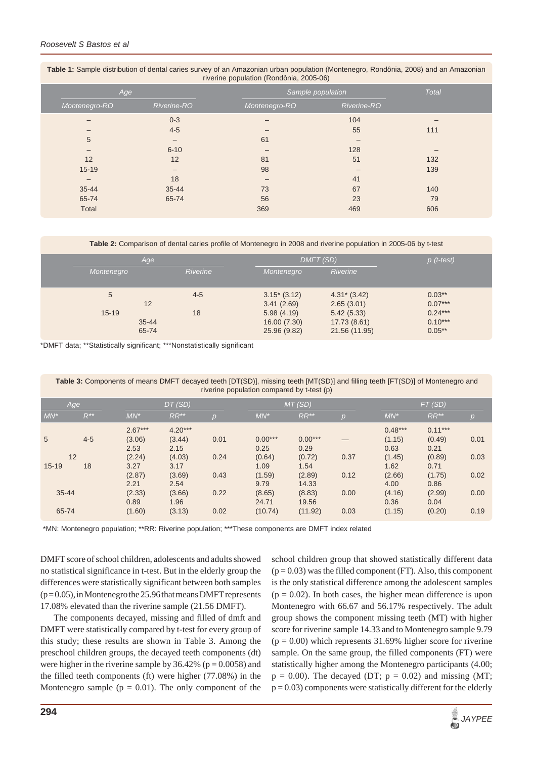| <i>INCHING Population (Rondoma, 2000 00)</i> |                          |               |              |     |  |  |  |  |
|----------------------------------------------|--------------------------|---------------|--------------|-----|--|--|--|--|
|                                              | Age                      |               | <b>Total</b> |     |  |  |  |  |
| Montenegro-RO                                | Riverine-RO              | Montenegro-RO | Riverine-RO  |     |  |  |  |  |
|                                              | $0 - 3$                  |               | 104          |     |  |  |  |  |
|                                              | $4 - 5$                  |               | 55           | 111 |  |  |  |  |
| 5                                            | $\qquad \qquad -$        | 61            |              |     |  |  |  |  |
|                                              | $6 - 10$                 |               | 128          |     |  |  |  |  |
| 12                                           | 12                       | 81            | 51           | 132 |  |  |  |  |
| $15 - 19$                                    | $\overline{\phantom{0}}$ | 98            |              | 139 |  |  |  |  |
| -                                            | 18                       |               | 41           |     |  |  |  |  |
| 35-44                                        | $35 - 44$                | 73            | 67           | 140 |  |  |  |  |
| 65-74                                        | 65-74                    | 56            | 23           | 79  |  |  |  |  |
| <b>Total</b>                                 |                          | 369           | 469          | 606 |  |  |  |  |

| Table 1: Sample distribution of dental caries survey of an Amazonian urban population (Montenegro, Rondônia, 2008) and an Amazonian |  |  |  |  |  |  |  |
|-------------------------------------------------------------------------------------------------------------------------------------|--|--|--|--|--|--|--|
| riverine population (Rondônia, 2005-06)                                                                                             |  |  |  |  |  |  |  |

**Table 2:** Comparison of dental caries profile of Montenegro in 2008 and riverine population in 2005-06 by t-test

| Age        |                 | DMFT (SD)     |                 | $p$ (t-test) |
|------------|-----------------|---------------|-----------------|--------------|
| Montenegro | <b>Riverine</b> | Montenegro    | <b>Riverine</b> |              |
|            |                 |               |                 |              |
| 5          | $4 - 5$         | $3.15*(3.12)$ | $4.31^*$ (3.42) | $0.03**$     |
| 12         |                 | 3.41(2.69)    | 2.65(3.01)      | $0.07***$    |
| $15 - 19$  | 18              | 5.98(4.19)    | 5.42(5.33)      | $0.24***$    |
| $35 - 44$  |                 | 16.00 (7.30)  | 17.73 (8.61)    | $0.10***$    |
| 65-74      |                 | 25.96 (9.82)  | 21.56 (11.95)   | $0.05***$    |

\*DMFT data; \*\*Statistically significant; \*\*\*Nonstatistically significant

**Table 3:** Components of means DMFT decayed teeth [DT(SD)], missing teeth [MT(SD)] and filling teeth [FT(SD)] of Montenegro and riverine population compared by t-test (p)

| Age             |          | DT(SD)    |           | MT(SD) |           |           | FT(SD) |           |           |                |
|-----------------|----------|-----------|-----------|--------|-----------|-----------|--------|-----------|-----------|----------------|
| $MN^*$          | $R^{**}$ | $MN^*$    | $RR**$    | י פי   | $MN^*$    | $RR**$    | p      | $MN^*$    | $RR**$    | $\overline{p}$ |
|                 |          | $2.67***$ | $4.20***$ |        |           |           |        | $0.48***$ | $0.11***$ |                |
| $5\overline{)}$ | $4 - 5$  | (3.06)    | (3.44)    | 0.01   | $0.00***$ | $0.00***$ |        | (1.15)    | (0.49)    | 0.01           |
|                 |          | 2.53      | 2.15      |        | 0.25      | 0.29      |        | 0.63      | 0.21      |                |
| 12              |          | (2.24)    | (4.03)    | 0.24   | (0.64)    | (0.72)    | 0.37   | (1.45)    | (0.89)    | 0.03           |
| $15 - 19$       | 18       | 3.27      | 3.17      |        | 1.09      | 1.54      |        | 1.62      | 0.71      |                |
|                 |          | (2.87)    | (3.69)    | 0.43   | (1.59)    | (2.89)    | 0.12   | (2.66)    | (1.75)    | 0.02           |
|                 |          | 2.21      | 2.54      |        | 9.79      | 14.33     |        | 4.00      | 0.86      |                |
| $35 - 44$       |          | (2.33)    | (3.66)    | 0.22   | (8.65)    | (8.83)    | 0.00   | (4.16)    | (2.99)    | 0.00           |
|                 |          | 0.89      | 1.96      |        | 24.71     | 19.56     |        | 0.36      | 0.04      |                |
| 65-74           |          | (1.60)    | (3.13)    | 0.02   | (10.74)   | (11.92)   | 0.03   | (1.15)    | (0.20)    | 0.19           |

\*MN: Montenegro population; \*\*RR: Riverine population; \*\*\*These components are DMFT index related

DMFT score of school children, adolescents and adults showed no statistical significance in t-test. But in the elderly group the differences were statistically significant between both samples  $(p=0.05)$ , in Montenegro the 25.96 that means DMFT represents 17.08% elevated than the riverine sample (21.56 DMFT).

The components decayed, missing and filled of dmft and DMFT were statistically compared by t-test for every group of this study; these results are shown in Table 3. Among the preschool children groups, the decayed teeth components (dt) were higher in the riverine sample by  $36.42\%$  ( $p = 0.0058$ ) and the filled teeth components (ft) were higher (77.08%) in the Montenegro sample ( $p = 0.01$ ). The only component of the

school children group that showed statistically different data  $(p = 0.03)$  was the filled component (FT). Also, this component is the only statistical difference among the adolescent samples  $(p = 0.02)$ . In both cases, the higher mean difference is upon Montenegro with 66.67 and 56.17% respectively. The adult group shows the component missing teeth (MT) with higher score for riverine sample 14.33 and to Montenegro sample 9.79  $(p = 0.00)$  which represents 31.69% higher score for riverine sample. On the same group, the filled components (FT) were statistically higher among the Montenegro participants (4.00;  $p = 0.00$ ). The decayed (DT;  $p = 0.02$ ) and missing (MT;  $p = 0.03$ ) components were statistically different for the elderly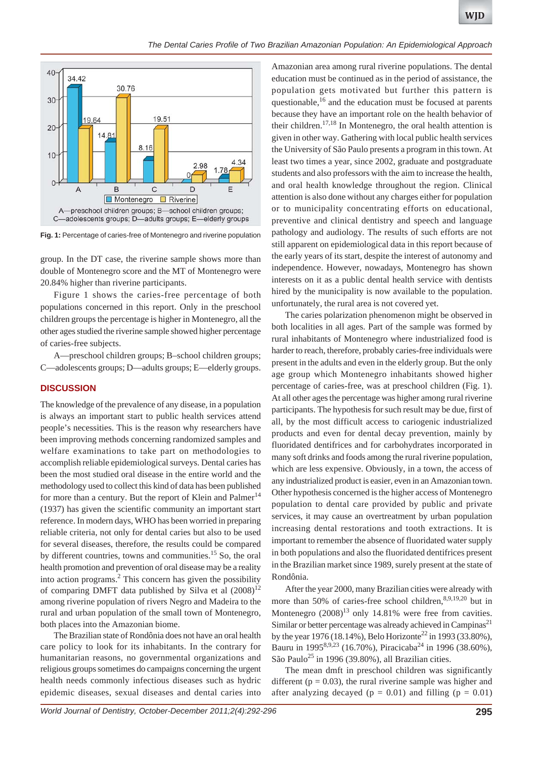

**Fig. 1:** Percentage of caries-free of Montenegro and riverine population

group. In the DT case, the riverine sample shows more than double of Montenegro score and the MT of Montenegro were 20.84% higher than riverine participants.

Figure 1 shows the caries-free percentage of both populations concerned in this report. Only in the preschool children groups the percentage is higher in Montenegro, all the other ages studied the riverine sample showed higher percentage of caries-free subjects.

A—preschool children groups; B–school children groups; C—adolescents groups; D—adults groups; E—elderly groups.

#### **DISCUSSION**

The knowledge of the prevalence of any disease, in a population is always an important start to public health services attend people's necessities. This is the reason why researchers have been improving methods concerning randomized samples and welfare examinations to take part on methodologies to accomplish reliable epidemiological surveys. Dental caries has been the most studied oral disease in the entire world and the methodology used to collect this kind of data has been published for more than a century. But the report of Klein and Palmer<sup>14</sup> (1937) has given the scientific community an important start reference. In modern days, WHO has been worried in preparing reliable criteria, not only for dental caries but also to be used for several diseases, therefore, the results could be compared by different countries, towns and communities.<sup>15</sup> So, the oral health promotion and prevention of oral disease may be a reality into action programs. $<sup>2</sup>$  This concern has given the possibility</sup> of comparing DMFT data published by Silva et al  $(2008)^{12}$ among riverine population of rivers Negro and Madeira to the rural and urban population of the small town of Montenegro, both places into the Amazonian biome.

The Brazilian state of Rondônia does not have an oral health care policy to look for its inhabitants. In the contrary for humanitarian reasons, no governmental organizations and religious groups sometimes do campaigns concerning the urgent health needs commonly infectious diseases such as hydric epidemic diseases, sexual diseases and dental caries into

Amazonian area among rural riverine populations. The dental education must be continued as in the period of assistance, the population gets motivated but further this pattern is questionable, $16$  and the education must be focused at parents because they have an important role on the health behavior of their children.17,18 In Montenegro, the oral health attention is given in other way. Gathering with local public health services the University of São Paulo presents a program in this town. At least two times a year, since 2002, graduate and postgraduate students and also professors with the aim to increase the health, and oral health knowledge throughout the region. Clinical attention is also done without any charges either for population or to municipality concentrating efforts on educational, preventive and clinical dentistry and speech and language pathology and audiology. The results of such efforts are not still apparent on epidemiological data in this report because of the early years of its start, despite the interest of autonomy and independence. However, nowadays, Montenegro has shown interests on it as a public dental health service with dentists hired by the municipality is now available to the population. unfortunately, the rural area is not covered yet.

The caries polarization phenomenon might be observed in both localities in all ages. Part of the sample was formed by rural inhabitants of Montenegro where industrialized food is harder to reach, therefore, probably caries-free individuals were present in the adults and even in the elderly group. But the only age group which Montenegro inhabitants showed higher percentage of caries-free, was at preschool children (Fig. 1). At all other ages the percentage was higher among rural riverine participants. The hypothesis for such result may be due, first of all, by the most difficult access to cariogenic industrialized products and even for dental decay prevention, mainly by fluoridated dentifrices and for carbohydrates incorporated in many soft drinks and foods among the rural riverine population, which are less expensive. Obviously, in a town, the access of any industrialized product is easier, even in an Amazonian town. Other hypothesis concerned is the higher access of Montenegro population to dental care provided by public and private services, it may cause an overtreatment by urban population increasing dental restorations and tooth extractions. It is important to remember the absence of fluoridated water supply in both populations and also the fluoridated dentifrices present in the Brazilian market since 1989, surely present at the state of Rondônia.

After the year 2000, many Brazilian cities were already with more than 50% of caries-free school children, 8,9,19,20 but in Montenegro  $(2008)^{13}$  only 14.81% were free from cavities. Similar or better percentage was already achieved in Campinas<sup>21</sup> by the year 1976 (18.14%), Belo Horizonte<sup>22</sup> in 1993 (33.80%), Bauru in 1995<sup>8,9,23</sup> (16.70%), Piracicaba<sup>24</sup> in 1996 (38.60%), São Paulo<sup>25</sup> in 1996 (39.80%), all Brazilian cities.

The mean dmft in preschool children was significantly different ( $p = 0.03$ ), the rural riverine sample was higher and after analyzing decayed ( $p = 0.01$ ) and filling ( $p = 0.01$ )